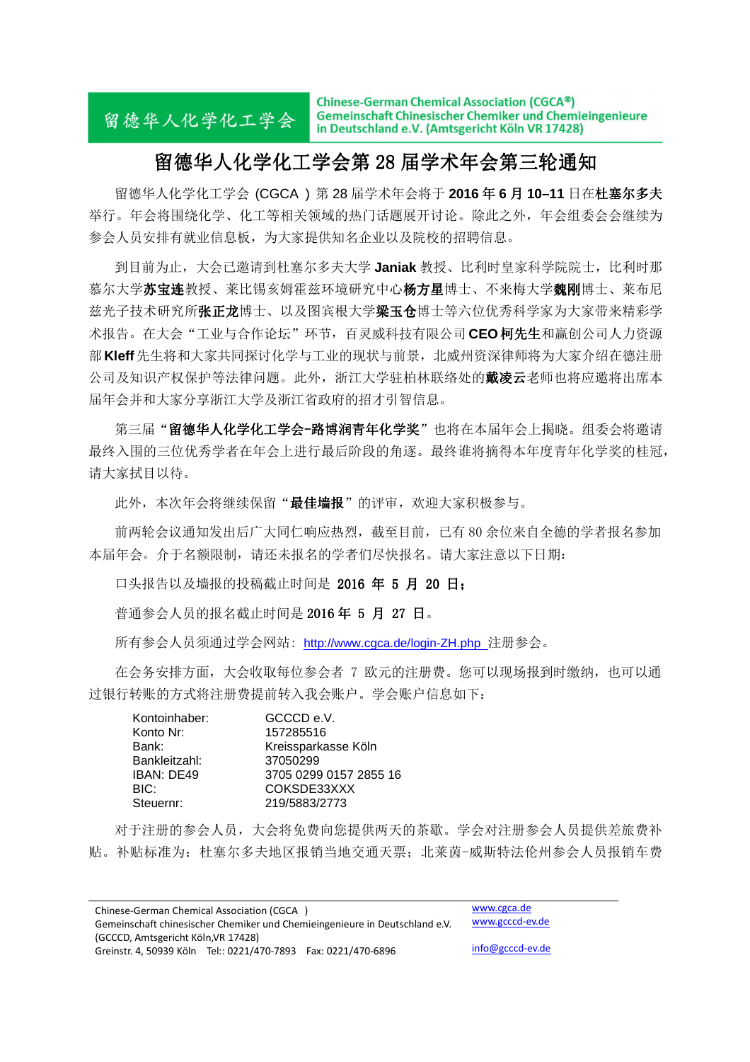Chinese-German Chemical Association (CGCA®) Gemeinschaft Chinesischer Chemiker und Chemieingenieure 留德华人化学化工学会 in Deutschland e.V. (Amtsgericht Köln VR 17428)

### 留德华人化学化工学会第 28 留德华人化学化工学会第 28 届学术年会第三轮通知

留德华人化学化工学会 (CGCA®) 第 28 届学术年会将于 2016 年 6 月 10-11 日在杜塞尔多夫 举行。年会将围绕化学、化工等相关领域的热门话题展开讨论。除此之外,年会组委会会继续为 参会人员安排有就业信息板,为大家提供知名企业以及院校的招聘信息。

到目前为止,大会已邀请到杜塞尔多夫大学 **Janiak** 教授、比利时皇家科学院院士,比利时那 慕尔大学**苏宝连**教授、莱比锡亥姆霍兹环境研究中心杨方星博士、不来梅大学魏刚博士、莱布尼 兹光子技术研究所张正龙博士、以及图宾根大学梁玉仓博士等六位优秀科学家为大家带来精彩学 术报告。在大会"工业与合作论坛"环节,百灵威科技有限公司 CEO 柯先生和赢创公司人力资源 部**Kleff**先生将和大家共同探讨化学与工业的现状与前景,北威州资深律师将为大家介绍在德注册 公司及知识产权保护等法律问题。此外, 浙江大学驻柏林联络处的**戴凌云**老师也将应邀将出席本 届年会并和大家分享浙江大学及浙江省政府的招才引智信息。

第三届"留德华人化学化工学会-路博润青年化学奖"也将在本届年会上揭晓。组委会将邀请 最终入围的三位优秀学者在年会上进行最后阶段的角逐。最终谁将摘得本年度青年化学奖的桂冠, 请大家拭目以待。

此外,本次年会将继续保留"最佳墙报"的评审,欢迎大家积极参与。

前两轮会议通知发出后广大同仁响应热烈,截至目前,已有 80 余位来自全德的学者报名参加 本届年会。介于名额限制,请还未报名的学者们尽快报名。请大家注意以下日期:

口头报告以及墙报的投稿截止时间是 2016 年 5 月 20 日;

普通参会人员的报名截止时间是 2016年 5月 27日。

所有参会人员须通过学会网站: http://www.cgca.de/login-ZH.php 注册参会。

在会务安排方面,大会收取每位参会者 7 欧元的注册费。您可以现场报到时缴纳,也可以通 过银行转账的方式将注册费提前转入我会账户。学会账户信息如下:

| Kontoinhaber: | GCCCD e.V.             |
|---------------|------------------------|
| Konto Nr:     | 157285516              |
| Bank:         | Kreissparkasse Köln    |
| Bankleitzahl: | 37050299               |
| IBAN: DE49    | 3705 0299 0157 2855 16 |
| BIC:          | COKSDE33XXX            |
| Steuernr:     | 219/5883/2773          |

对于注册的参会人员,大会将免费向您提供两天的茶歇。学会对注册参会人员提供差旅费补 贴。补贴标准为:杜塞尔多夫地区报销当地交通天票;北莱茵-威斯特法伦州参会人员报销车费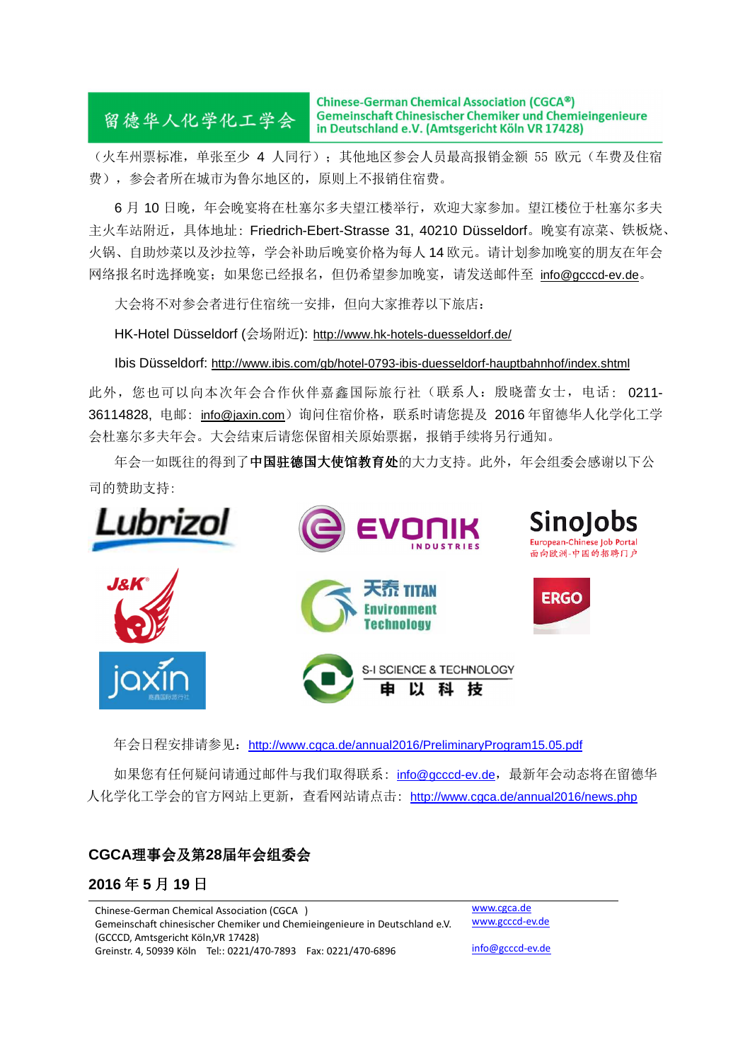# 留德华人化学化工学会

Chinese-German Chemical Association (CGCA®) Gemeinschaft Chinesischer Chemiker und Chemieingenieure in Deutschland e.V. (Amtsgericht Köln VR 17428)

(火车州票标准,单张至少 4 人同行); 其他地区参会人员最高报销金额 55 欧元(车费及住宿 费),参会者所在城市为鲁尔地区的,原则上不报销住宿费。

6 月 10 日晚,年会晚宴将在杜塞尔多夫望江楼举行,欢迎大家参加。望江楼位于杜塞尔多夫 主火车站附近,具体地址: Friedrich-Ebert-Strasse 31, 40210 Düsseldorf。晚宴有凉菜、铁板烧、 火锅、自助炒菜以及沙拉等,学会补助后晚宴价格为每人 14 欧元。请计划参加晚宴的朋友在年会 网络报名时选择晚宴;如果您已经报名,但仍希望参加晚宴,请发送邮件至 info@gcccd-ev.de。

大会将不对参会者进行住宿统一安排,但向大家推荐以下旅店:

HK-Hotel Düsseldorf (会场附近): http://www.hk-hotels-duesseldorf.de/

Ibis Düsseldorf: http://www.ibis.com/gb/hotel-0793-ibis-duesseldorf-hauptbahnhof/index.shtml

此外,您也可以向本次年会合作伙伴嘉鑫国际旅行社(联系人:殷晓蕾女士,电话: 0211- 36114828. 电邮: info@jaxin.com)询问住宿价格, 联系时请您提及 2016年留德华人化学化工学 会杜塞尔多夫年会。大会结束后请您保留相关原始票据,报销手续将另行通知。

年会一如既往的得到了中国驻德国大使馆教育处的大力支持。此外,年会组委会感谢以下公 司的赞助支持:



年会日程安排请参见: http://www.cgca.de/annual2016/PreliminaryProgram15.05.pdf

如果您有任何疑问请通过邮件与我们取得联系: info@gcccd-ev.de,最新年会动态将在留德华 人化学化工学会的官方网站上更新,查看网站请点击: http://www.cgca.de/annual2016/news.php

### **CGCA**理事会及第**28**届年会组委会

#### **2016** 年 **5** 月 **19** 日

Chinese-German Chemical Association (CGCA<sup>®</sup>) Gemeinschaft chinesischer Chemiker und Chemieingenieure in Deutschland e.V. (GCCCD, Amtsgericht Köln,VR 17428) Greinstr. 4, 50939 Köln Tel:: 0221/470-7893 Fax: 0221/470-6896

www.cgca.de www.gcccd-ev.de

info@gcccd-ev.de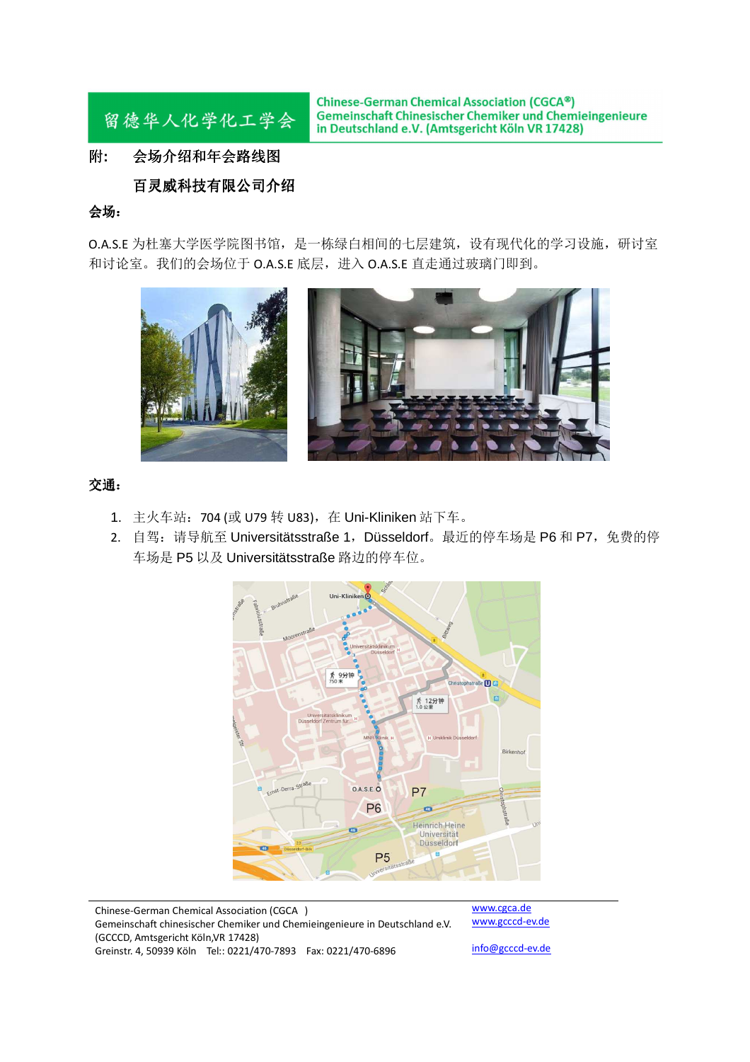

**Chinese-German Chemical Association (CGCA®)** Gemeinschaft Chinesischer Chemiker und Chemieingenieure in Deutschland e.V. (Amtsgericht Köln VR 17428)

#### 附**:** 会场介绍和年会路线图

#### 百灵威科技有限公司介绍

#### 会场:

O.A.S.E 为杜塞大学医学院图书馆,是一栋绿白相间的七层建筑,设有现代化的学习设施,研讨室 和讨论室。我们的会场位于 O.A.S.E 底层,进入 O.A.S.E 直走通过玻璃门即到。



#### 交通:

- 1. 主火车站: 704 (或 U79 转 U83), 在 Uni-Kliniken 站下车。
- 2. 自驾: 请导航至 Universitätsstraße 1, Düsseldorf。最近的停车场是 P6 和 P7, 免费的停 车场是 P5 以及 Universitätsstraße 路边的停车位。



Chinese-German Chemical Association (CGCA<sup>®</sup>) Gemeinschaft chinesischer Chemiker und Chemieingenieure in Deutschland e.V. (GCCCD, Amtsgericht Köln,VR 17428) Greinstr. 4, 50939 Köln Tel:: 0221/470-7893 Fax: 0221/470-6896

www.cgca.de www.gcccd-ev.de

info@gcccd-ev.de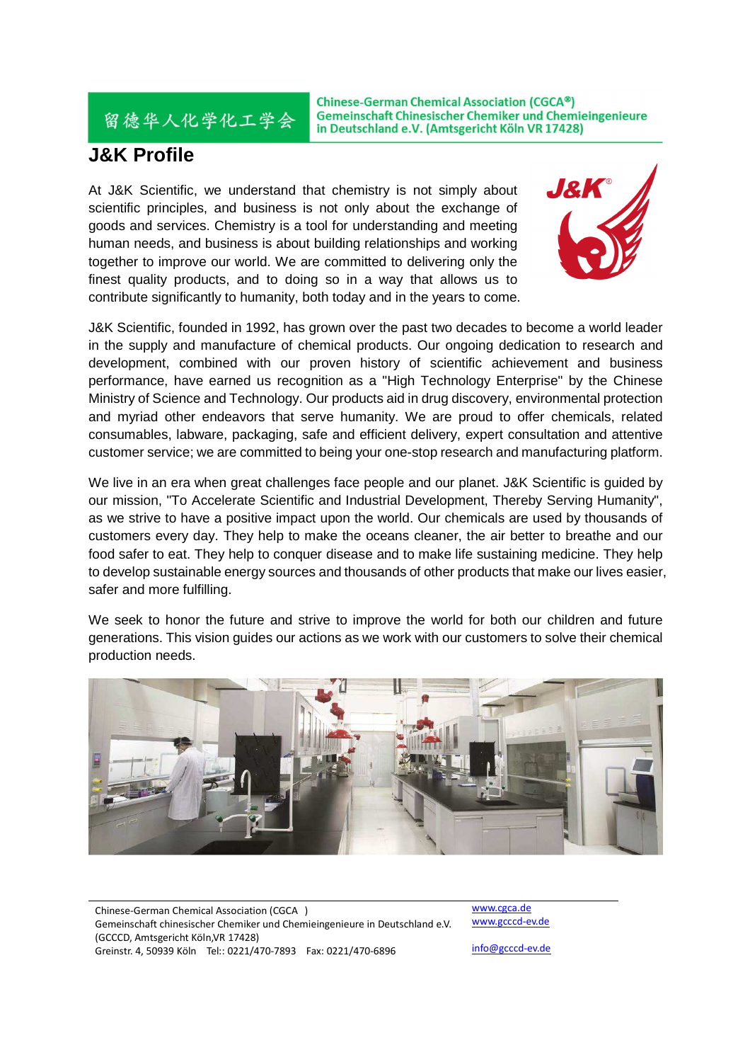Chinese-German Chemical Association (CGCA®) Gemeinschaft Chinesischer Chemiker und Chemieingenieure in Deutschland e.V. (Amtsgericht Köln VR 17428)

## **J&K Profile**

留德华人化学化工学会

At J&K Scientific, we understand that chemistry is not simply about scientific principles, and business is not only about the exchange of goods and services. Chemistry is a tool for understanding and meeting human needs, and business is about building relationships and working together to improve our world. We are committed to delivering only the finest quality products, and to doing so in a way that allows us to contribute significantly to humanity, both today and in the years to come.



J&K Scientific, founded in 1992, has grown over the past two decades to become a world leader in the supply and manufacture of chemical products. Our ongoing dedication to research and development, combined with our proven history of scientific achievement and business performance, have earned us recognition as a "High Technology Enterprise" by the Chinese Ministry of Science and Technology. Our products aid in drug discovery, environmental protection and myriad other endeavors that serve humanity. We are proud to offer chemicals, related consumables, labware, packaging, safe and efficient delivery, expert consultation and attentive customer service; we are committed to being your one-stop research and manufacturing platform.

We live in an era when great challenges face people and our planet. J&K Scientific is guided by our mission, "To Accelerate Scientific and Industrial Development, Thereby Serving Humanity", as we strive to have a positive impact upon the world. Our chemicals are used by thousands of customers every day. They help to make the oceans cleaner, the air better to breathe and our food safer to eat. They help to conquer disease and to make life sustaining medicine. They help to develop sustainable energy sources and thousands of other products that make our lives easier, safer and more fulfilling.

We seek to honor the future and strive to improve the world for both our children and future generations. This vision guides our actions as we work with our customers to solve their chemical production needs.



Chinese-German Chemical Association (CGCA<sup>®</sup>) Gemeinschaft chinesischer Chemiker und Chemieingenieure in Deutschland e.V. (GCCCD, Amtsgericht Köln,VR 17428) Greinstr. 4, 50939 Köln Tel:: 0221/470-7893 Fax: 0221/470-6896

www.cgca.de www.gcccd-ev.de

info@gcccd-ev.de